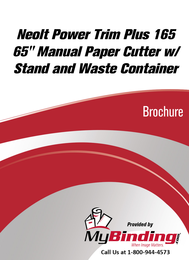## **Neolt Power Trim Plus 165** 65" Manual Paper Cutter w/ **Stand and Waste Container**





Call Us at 1-800-944-4573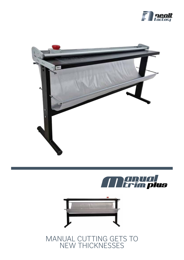







MANUAL CUTTING GETS TO NEW THICKNESSES